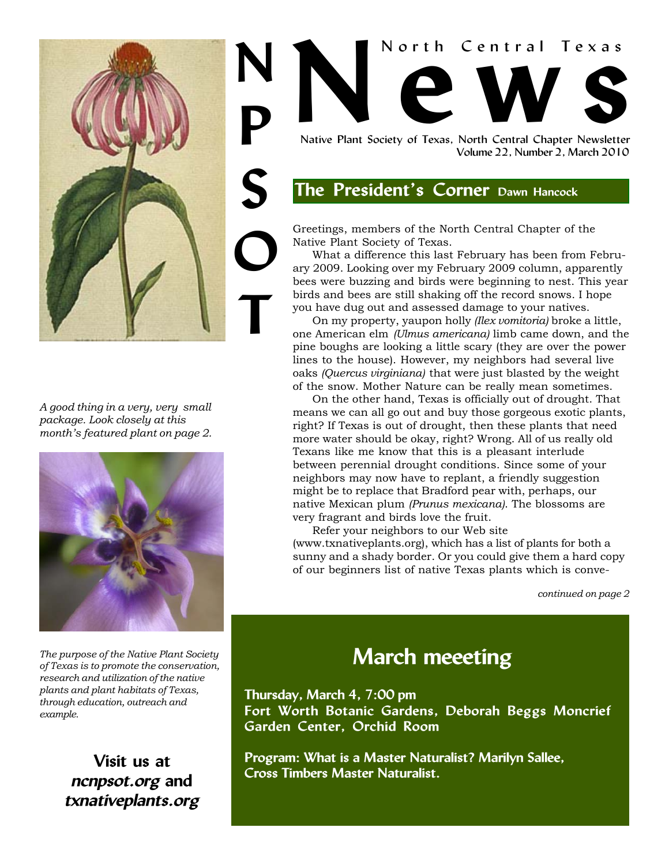

*A good thing in a very, very small package. Look closely at this month's featured plant on page 2.*



*The purpose of the Native Plant Society of Texas is to promote the conservation, research and utilization of the native plants and plant habitats of Texas, through education, outreach and example.*

> **Visit us at ncnpsot.org and txnativeplants.org**

# North Central Texas<br>
Native Plant Society of Texas, North Central Chapter Newsletter Native Plant Society of Texas, North Central Chapter Newsletter North Central Texas **N P**

Volume 22, Number 2, March 2010

## **The President's Corner Dawn Hancock**

Greetings, members of the North Central Chapter of the Native Plant Society of Texas.

What a difference this last February has been from February 2009. Looking over my February 2009 column, apparently bees were buzzing and birds were beginning to nest. This year birds and bees are still shaking off the record snows. I hope you have dug out and assessed damage to your natives.

On my property, yaupon holly *(Ilex vomitoria)* broke a little, one American elm *(Ulmus americana)* limb came down, and the pine boughs are looking a little scary (they are over the power lines to the house). However, my neighbors had several live oaks *(Quercus virginiana)* that were just blasted by the weight of the snow. Mother Nature can be really mean sometimes.

On the other hand, Texas is officially out of drought. That means we can all go out and buy those gorgeous exotic plants, right? If Texas is out of drought, then these plants that need more water should be okay, right? Wrong. All of us really old Texans like me know that this is a pleasant interlude between perennial drought conditions. Since some of your neighbors may now have to replant, a friendly suggestion might be to replace that Bradford pear with, perhaps, our native Mexican plum *(Prunus mexicana)*. The blossoms are very fragrant and birds love the fruit.

Refer your neighbors to our Web site (www.txnativeplants.org), which has a list of plants for both a sunny and a shady border. Or you could give them a hard copy of our beginners list of native Texas plants which is conve-

*continued on page 2*

## **March meeeting**

**Thursday, March 4, 7:00 pm Fort Worth Botanic Gardens, Deborah Beggs Moncrief Garden Center, Orchid Room**

**Program: What is a Master Naturalist? Marilyn Sallee, Cross Timbers Master Naturalist.**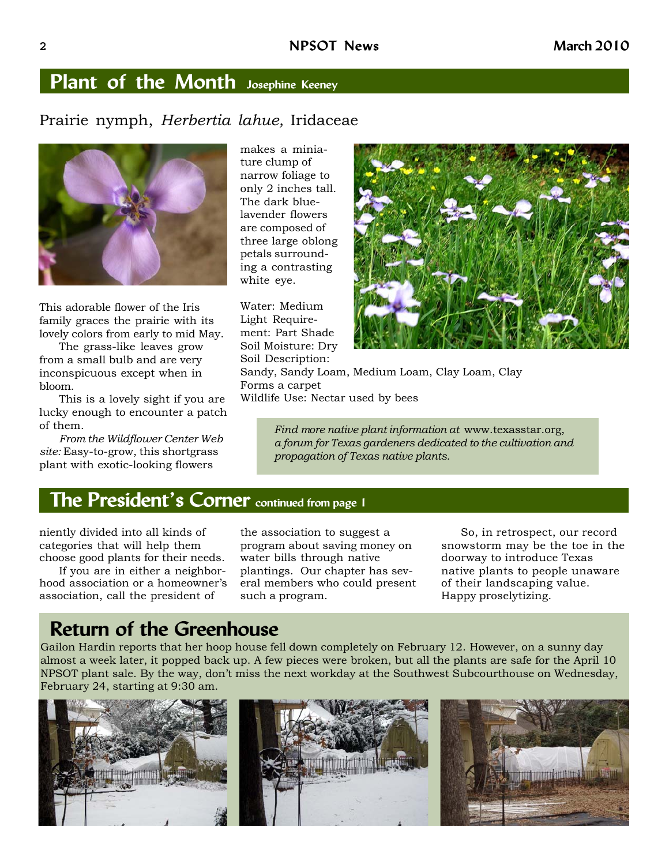## **Plant of the Month Josephine Keeney**

#### Prairie nymph, *Herbertia lahue,* Iridaceae



This adorable flower of the Iris family graces the prairie with its lovely colors from early to mid May.

The grass-like leaves grow from a small bulb and are very inconspicuous except when in bloom.

This is a lovely sight if you are lucky enough to encounter a patch of them.

*From the Wildflower Center Web site:* Easy-to-grow, this shortgrass plant with exotic-looking flowers

makes a miniature clump of narrow foliage to only 2 inches tall. The dark bluelavender flowers are composed of three large oblong petals surrounding a contrasting white eye.

Water: Medium Light Requirement: Part Shade Soil Moisture: Dry Soil Description:



Sandy, Sandy Loam, Medium Loam, Clay Loam, Clay Forms a carpet Wildlife Use: Nectar used by bees

> *Find more native plant information at* www.texasstar.org, *a forum for Texas gardeners dedicated to the cultivation and propagation of Texas native plants.*

### **The President's Corner continued from page 1**

niently divided into all kinds of categories that will help them choose good plants for their needs.

If you are in either a neighborhood association or a homeowner's association, call the president of

the association to suggest a program about saving money on water bills through native plantings. Our chapter has several members who could present such a program.

So, in retrospect, our record snowstorm may be the toe in the doorway to introduce Texas native plants to people unaware of their landscaping value. Happy proselytizing.

## **Return of the Greenhouse**

Gailon Hardin reports that her hoop house fell down completely on February 12. However, on a sunny day almost a week later, it popped back up. A few pieces were broken, but all the plants are safe for the April 10 NPSOT plant sale. By the way, don't miss the next workday at the Southwest Subcourthouse on Wednesday, February 24, starting at 9:30 am.

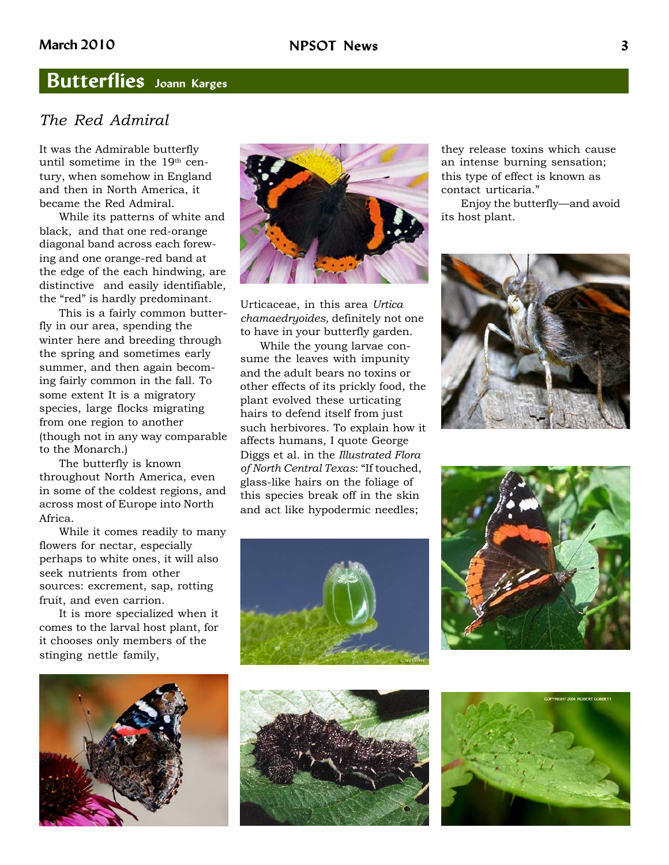## **Butterflies Joann Karges**

#### *The Red Admiral*

It was the Admirable butterfly until sometime in the 19<sup>th</sup> century, when somehow in England and then in North America, it became the Red Admiral.

While its patterns of white and black, and that one red-orange diagonal band across each forewing and one orange-red band at the edge of the each hindwing, are distinctive and easily identifiable, the "red" is hardly predominant.

This is a fairly common butterfly in our area, spending the winter here and breeding through the spring and sometimes early summer, and then again becoming fairly common in the fall. To some extent It is a migratory species, large flocks migrating from one region to another (though not in any way comparable to the Monarch.)

The butterfly is known throughout North America, even in some of the coldest regions, and across most of Europe into North Africa.

While it comes readily to many flowers for nectar, especially perhaps to white ones, it will also seek nutrients from other sources: excrement, sap, rotting fruit, and even carrion.

It is more specialized when it comes to the larval host plant, for it chooses only members of the stinging nettle family,



Urticaceae, in this area *Urtica chamaedryoides,* definitely not one to have in your butterfly garden.

While the young larvae consume the leaves with impunity and the adult bears no toxins or other effects of its prickly food, the plant evolved these urticating hairs to defend itself from just such herbivores. To explain how it affects humans, I quote George Diggs et al. in the *Illustrated Flora of North Central Texas*: "If touched, glass-like hairs on the foliage of this species break off in the skin and act like hypodermic needles;

they release toxins which cause an intense burning sensation; this type of effect is known as contact urticaria."

Enjoy the butterfly—and avoid its host plant.









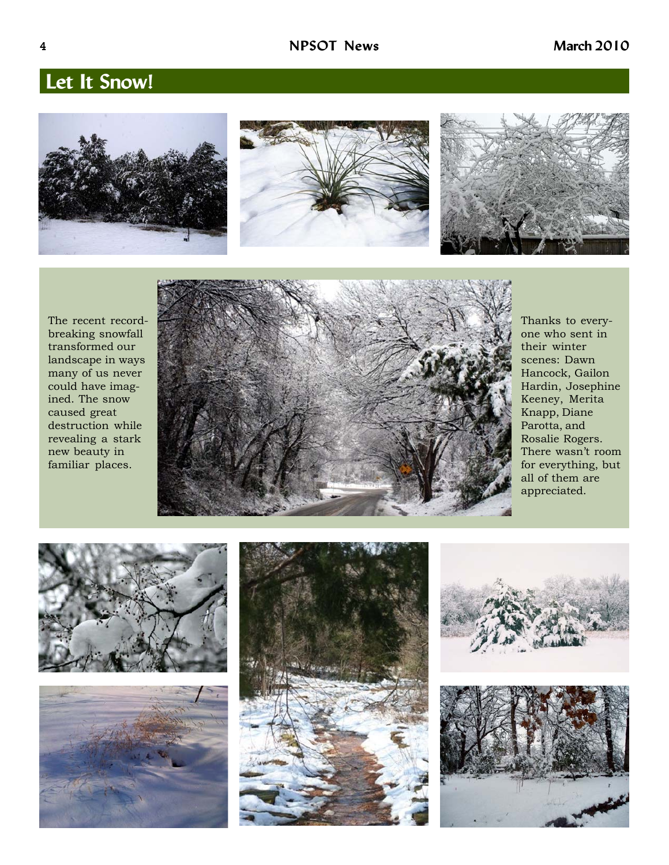## **Let It Snow!**







The recent recordbreaking snowfall transformed our landscape in ways many of us never could have imagined. The snow caused great destruction while revealing a stark new beauty in familiar places.



Thanks to everyone who sent in their winter scenes: Dawn Hancock, Gailon Hardin, Josephine Keeney, Merita Knapp, Diane Parotta, and Rosalie Rogers. There wasn't room for everything, but all of them are appreciated.









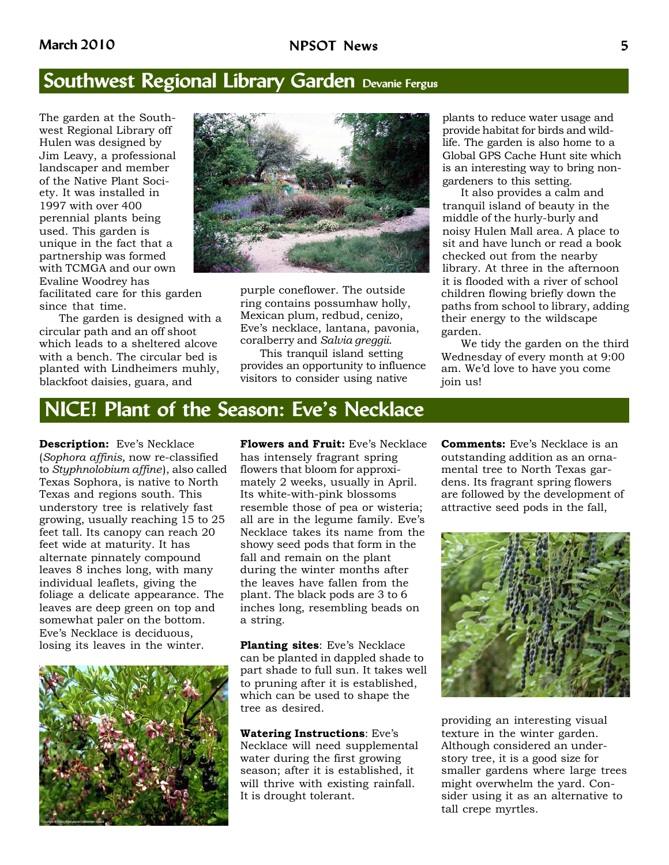## **Southwest Regional Library Garden Devanie Fergus**

The garden at the Southwest Regional Library off Hulen was designed by Jim Leavy, a professional landscaper and member of the Native Plant Society. It was installed in 1997 with over 400 perennial plants being used. This garden is unique in the fact that a partnership was formed with TCMGA and our own Evaline Woodrey has

facilitated care for this garden since that time.

The garden is designed with a circular path and an off shoot which leads to a sheltered alcove with a bench. The circular bed is planted with Lindheimers muhly, blackfoot daisies, guara, and



purple coneflower. The outside ring contains possumhaw holly, Mexican plum, redbud, cenizo, Eve's necklace, lantana, pavonia, coralberry and *Salvia greggii*.

This tranquil island setting provides an opportunity to influence visitors to consider using native

plants to reduce water usage and provide habitat for birds and wildlife. The garden is also home to a Global GPS Cache Hunt site which is an interesting way to bring nongardeners to this setting.

It also provides a calm and tranquil island of beauty in the middle of the hurly-burly and noisy Hulen Mall area. A place to sit and have lunch or read a book checked out from the nearby library. At three in the afternoon it is flooded with a river of school children flowing briefly down the paths from school to library, adding their energy to the wildscape garden.

We tidy the garden on the third Wednesday of every month at 9:00 am. We'd love to have you come join us!

## **NICE! Plant of the Season: Eve's Necklace**

**Description:** Eve's Necklace (*Sophora affinis,* now re-classified to *Styphnolobium affine*), also called Texas Sophora, is native to North Texas and regions south. This understory tree is relatively fast growing, usually reaching 15 to 25 feet tall. Its canopy can reach 20 feet wide at maturity. It has alternate pinnately compound leaves 8 inches long, with many individual leaflets, giving the foliage a delicate appearance. The leaves are deep green on top and somewhat paler on the bottom. Eve's Necklace is deciduous, losing its leaves in the winter.



**Flowers and Fruit:** Eve's Necklace has intensely fragrant spring flowers that bloom for approximately 2 weeks, usually in April. Its white-with-pink blossoms resemble those of pea or wisteria; all are in the legume family. Eve's Necklace takes its name from the showy seed pods that form in the fall and remain on the plant during the winter months after the leaves have fallen from the plant. The black pods are 3 to 6 inches long, resembling beads on a string.

**Planting sites**: Eve's Necklace can be planted in dappled shade to part shade to full sun. It takes well to pruning after it is established, which can be used to shape the tree as desired.

**Watering Instructions**: Eve's Necklace will need supplemental water during the first growing season; after it is established, it will thrive with existing rainfall. It is drought tolerant.

**Comments:** Eve's Necklace is an outstanding addition as an ornamental tree to North Texas gardens. Its fragrant spring flowers are followed by the development of attractive seed pods in the fall,



providing an interesting visual texture in the winter garden. Although considered an understory tree, it is a good size for smaller gardens where large trees might overwhelm the yard. Consider using it as an alternative to tall crepe myrtles.